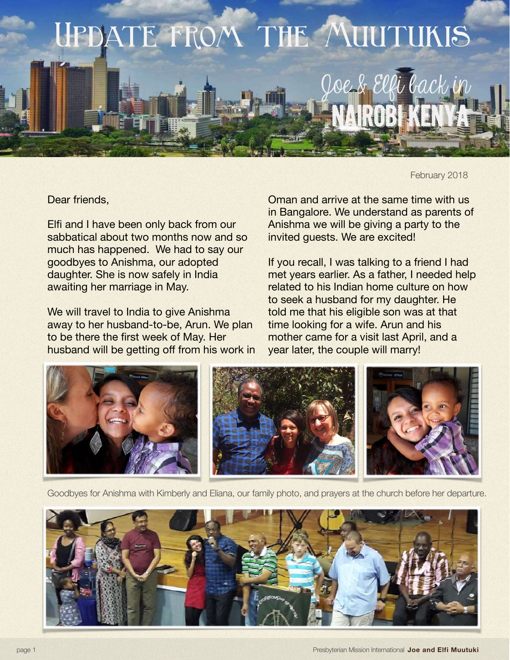

February 2018

Dear friends,

Elfi and I have been only back from our sabbatical about two months now and so much has happened. We had to say our goodbyes to Anishma, our adopted daughter. She is now safely in India awaiting her marriage in May.

We will travel to India to give Anishma away to her husband-to-be, Arun. We plan to be there the first week of May. Her husband will be getting off from his work in Oman and arrive at the same time with us in Bangalore. We understand as parents of Anishma we will be giving a party to the invited guests. We are excited!

If you recall, I was talking to a friend I had met years earlier. As a father, I needed help related to his Indian home culture on how to seek a husband for my daughter. He told me that his eligible son was at that time looking for a wife. Arun and his mother came for a visit last April, and a year later, the couple will marry!



Goodbyes for Anishma with Kimberly and Eliana, our family photo, and prayers at the church before her departure.